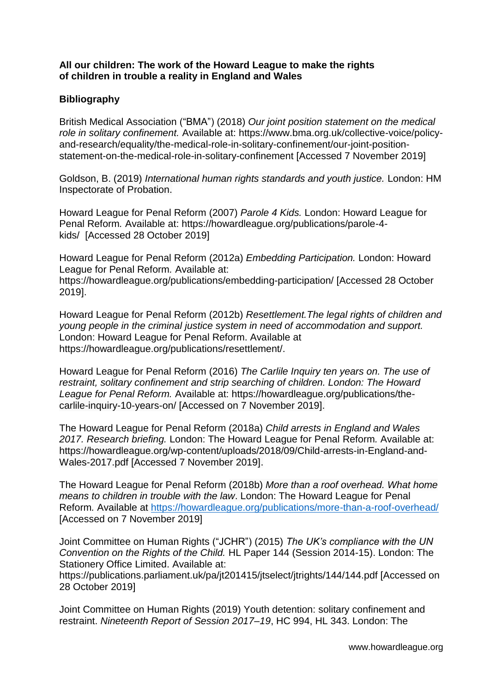## **All our children: The work of the Howard League to make the rights of children in trouble a reality in England and Wales**

## **Bibliography**

British Medical Association ("BMA") (2018) *Our joint position statement on the medical role in solitary confinement.* Available at: [https://www.bma.org.uk/collective-voice/policy](https://www.bma.org.uk/collective-voice/policy-and-research/equality/the-medical-role-in-solitary-confinement/our-joint-position-statement-on-the-medical-role-in-solitary-confinement)[and-research/equality/the-medical-role-in-solitary-confinement/our-joint-position](https://www.bma.org.uk/collective-voice/policy-and-research/equality/the-medical-role-in-solitary-confinement/our-joint-position-statement-on-the-medical-role-in-solitary-confinement)[statement-on-the-medical-role-in-solitary-confinement](https://www.bma.org.uk/collective-voice/policy-and-research/equality/the-medical-role-in-solitary-confinement/our-joint-position-statement-on-the-medical-role-in-solitary-confinement) [Accessed 7 November 2019]

Goldson, B. (2019) *International human rights standards and youth justice.* London: HM Inspectorate of Probation.

Howard League for Penal Reform (2007) *Parole 4 Kids.* London: Howard League for Penal Reform*.* Available at: https://howardleague.org/publications/parole-4 kids/ [Accessed 28 October 2019]

Howard League for Penal Reform (2012a) *Embedding Participation.* London: Howard League for Penal Reform*.* Available at: https://howardleague.org/publications/embedding-participation/ [Accessed 28 October 2019].

Howard League for Penal Reform (2012b) *Resettlement.The legal rights of children and young people in the criminal justice system in need of accommodation and support.* London: Howard League for Penal Reform. Available at https://howardleague.org/publications/resettlement/.

Howard League for Penal Reform (2016) *The Carlile Inquiry ten years on. The use of restraint, solitary confinement and strip searching of children. London: The Howard League for Penal Reform.* Available at: https://howardleague.org/publications/thecarlile-inquiry-10-years-on/ [Accessed on 7 November 2019].

The Howard League for Penal Reform (2018a) *Child arrests in England and Wales 2017. Research briefing.* London: The Howard League for Penal Reform*.* Available at: https://howardleague.org/wp-content/uploads/2018/09/Child-arrests-in-England-and-Wales-2017.pdf [Accessed 7 November 2019].

The Howard League for Penal Reform (2018b) *More than a roof overhead. What home means to children in trouble with the law*. London: The Howard League for Penal Reform*.* Available at<https://howardleague.org/publications/more-than-a-roof-overhead/> [Accessed on 7 November 2019]

Joint Committee on Human Rights ("JCHR") (2015) *The UK's compliance with the UN Convention on the Rights of the Child.* HL Paper 144 (Session 2014-15). London: The Stationery Office Limited. Available at:

https://publications.parliament.uk/pa/jt201415/jtselect/jtrights/144/144.pdf [Accessed on 28 October 2019]

Joint Committee on Human Rights (2019) Youth detention: solitary confinement and restraint. *Nineteenth Report of Session 2017–19*, HC 994, HL 343. London: The